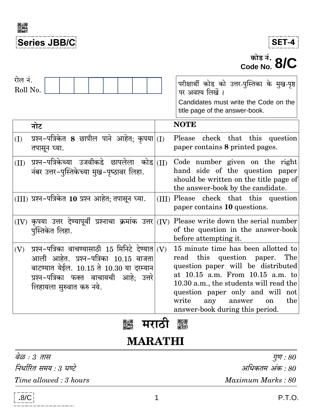



# $\overline{\phantom{1}}^{\overline{\mathbf{w}}$ is  $\overline{\mathbf{q}}$ . 8/C

| रोल नं.<br>Roll No. |     |                                                                                                                                                                                                                 |  |  |  |       | परीक्षार्थी कोड को उत्तर-पुस्तिका के मुख-पृष्ठ<br>पर अवश्य लिखें ।<br>Candidates must write the Code on the<br>title page of the answer-book.                                                                                                                                                                     |
|---------------------|-----|-----------------------------------------------------------------------------------------------------------------------------------------------------------------------------------------------------------------|--|--|--|-------|-------------------------------------------------------------------------------------------------------------------------------------------------------------------------------------------------------------------------------------------------------------------------------------------------------------------|
|                     | नोट |                                                                                                                                                                                                                 |  |  |  |       | <b>NOTE</b>                                                                                                                                                                                                                                                                                                       |
| (I)                 |     | प्रश्न-पत्रिकेत 8 छापील पाने आहेत; कृपया $ (I)$<br>तपासून घ्या.                                                                                                                                                 |  |  |  |       | Please check that this question<br>paper contains 8 printed pages.                                                                                                                                                                                                                                                |
| (II)                |     | प्रश्न-पत्रिकेच्या उजवीकडे छापलेला कोड <br>नंबर उत्तर-पुस्तिकेच्या मुख-पृष्ठावर लिहा.                                                                                                                           |  |  |  | (II)  | Code number given on the right<br>hand side of the question paper<br>should be written on the title page of<br>the answer-book by the candidate.                                                                                                                                                                  |
|                     |     | (III) प्रश्न-पत्रिकेत 10 प्रश्न आहेत; तपासून घ्या.                                                                                                                                                              |  |  |  | (III) | Please check that this question<br>paper contains 10 questions.                                                                                                                                                                                                                                                   |
|                     |     | $(IV)$ कृपया उत्तर देण्यापूर्वी प्रश्नाचा क्रमांक उत्तर $ (IV) $<br>पुस्तिकेत लिहा.                                                                                                                             |  |  |  |       | Please write down the serial number<br>of the question in the answer-book<br>before attempting it.                                                                                                                                                                                                                |
| (V)                 |     | प्रश्न-पत्रिका वाचण्यासाठी 15 मिनिटे देण्यात $ $ (V)<br>आली आहेत. प्रश्न-पत्रिका 10.15 वाजता<br>वाटण्यात येईल. 10.15 ते 10.30 या दरम्यान<br>प्रश्न-पत्रिका फक्त वाचायची आहे; उत्तरे<br>लिहायला सुरुवात करु नये. |  |  |  |       | 15 minute time has been allotted to<br>read this question paper. The<br>question paper will be distributed<br>at 10.15 a.m. From 10.15 a.m. to<br>10.30 a.m., the students will read the<br>question paper only and will not<br>write<br>the<br>any<br>answer<br><sub>on</sub><br>answer-book during this period. |
|                     |     |                                                                                                                                                                                                                 |  |  |  |       | 蹨                                                                                                                                                                                                                                                                                                                 |

# **MARATHI**

| वेळ : 3 तास             | गुण : $80\,$      |
|-------------------------|-------------------|
| निर्धारित समय : 3 घण्टे | अधिकतम अंक : 80   |
| Time allowed: 3 hours   | Maximum Marks: 80 |

.<br>Aufstrauwistrauwistrauwistrauwistrauwistrauwistra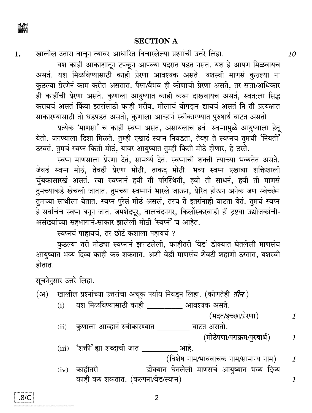

#### **SECTION A**

खालील उतारा वाचन त्यावर आधारित विचारलेल्या प्रश्नांची उत्तरे लिहा. 1.

यश काही आकाशातून टपकून आपल्या पदरात पडत नसतं. यश हे आपण मिळवायचं असतं. यश मिळविण्यासाठी काही प्रेरणा आवश्यक असते. यशस्वी माणसं कठल्या ना कुठल्या प्रेरणेनं काम करीत असतात. पैसा/वैभव ही कोणाची प्रेरणा असते, तर सत्ता/अधिकार ही काहींची प्रेरणा असते. कुणाला आयुष्यात काही करुन दाखवायचं असतं, स्वतःला सिद्ध करायचं असतं किंवा इतरांसाठी काही भरीव, मोलाचं योगदान द्यायचं असतं नि ती प्रत्यक्षात साकारण्यासाठी तो धडपडत असतो, कृणाला आव्हानं स्वीकारण्यात पुरुषार्थ वाटत असतो.

प्रत्येक 'माणसा' चं काही स्वप्न असतं, असायलाच हवं. स्वप्नामुळे आयुष्याला हेतू येतो. जगण्याला दिशा मिळते. तुम्ही एखादं स्वप्न निवडता, तेव्हा ते स्वप्नच तुमची 'नियती' ठरवतं. तुमचं स्वप्न किती मोठं, यावर आयुष्यात तुम्ही किती मोठे होणार, हे ठरते.

स्वप्न माणसाला प्रेरणा देतं, सामर्थ्य देतं. स्वप्नाची शक्ती त्याच्या भव्यतेत असते. जेवढं स्वप्न मोठं, तेवढी प्रेरणा मोठी, ताकद मोठी. भव्य स्वप्न एखाद्या शक्तिशाली चुंबकासारखं असतं. त्या स्वप्नानं हवी ती परिस्थिती, हवी ती साधनं, हवी ती माणसं तुमच्याकडे खेचली जातात. तुमच्या स्वप्नानं भारले जाऊन, प्रेरित होऊन अनेक जण स्वेच्छेनं तुमच्या साथीला येतात. स्वप्न पुरेसं मोठं असलं, तरच ते इतरांनाही वाटता येतं. तुमचं स्वप्न हे सर्वाचंच स्वप्न बनून जातं. जमशेदपूर, वालचंदनगर, किर्लोस्करवाडी ही द्रष्टया उद्योजकांची-असंख्यांच्या सहभागानं-साकार झालेली मोठी 'स्वप्नं' च आहेत.

स्वप्नचं पाहायचं, तर छोटं कशाला पहायचं ?

कुठल्या तरी मोठ्या स्वप्नानं झपाटलेली, काहीतरी 'वेड' डोक्यात घेतलेली माणसंच आयुष्यात भव्य दिव्य काही करु शकतात. अशी वेडी माणसंच शेवटी शहाणी ठरतात, यशस्वी होतात.

सूचनेनुसार उत्तरे लिहा.

- खालील प्रश्नांच्या उत्तरांचा अचूक पर्याय निवडून लिहा. (कोणतेही *तीन* )  $(\mathcal{H})$ 
	- यश मिळविण्यासाठी काही व्याला आवश्यक असते.  $(i)$

(मदत/इच्छा/प्रेरणा)

- कुणाला आव्हानं स्वीकारण्यात \_\_\_\_\_\_\_\_ वाटत असतो.  $(ii)$ 
	- (मोठेपणा/पराक्रम/पुरुषार्थ)  $\mathcal{I}_{\mathcal{L}}$

 $\mathcal I$ 

 $\mathcal{I}_{\mathcal{L}}$ 

- \_\_ आहे. (iii) 'शक्ती' ह्या शब्दाची जात
	- (विशेष नाम/भाववाचक नाम/सामान्य नाम)
- \_ डोक्यात घेतलेली माणसचं आयुष्यात भव्य दिव्य  $(iv)$  काहीतरी काही करु शकतात. (कल्पना/वेड/स्वप्न)  $\mathcal{I}_{\mathcal{L}}$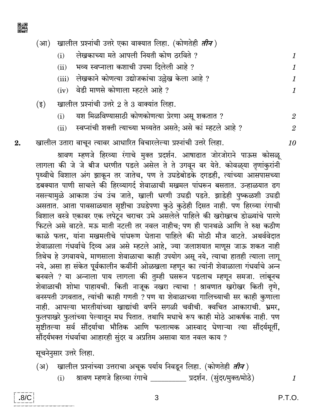

(आ) खालील प्रश्नांची उत्तरे एका वाक्यात लिहा. (कोणतेही *तीन*)

- लेखकाच्या मते आपली नियती कोण ठरविते ?  $(i)$  $\mathbf{1}$
- भव्य स्वप्नाला कशाची उपमा दिलेली आहे ?  $(ii)$
- (iii) लेखकाने कोणत्या उद्योजकांचा उल्लेख केला आहे ?
- वेडी माणसे कोणाला म्हटले आहे ?  $(iv)$
- खालील प्रश्नांची उत्तरे 2 ते 3 वाक्यांत लिहा.  $(3)$ 
	- यश मिळविण्यासाठी कोणकोणत्या प्रेरणा असू शकतात ?  $(i)$
	- स्वप्नांची शक्ती त्याच्या भव्यतेत असते; असे कां म्हटले आहे ?  $(ii)$
- खालील उतारा वाचून त्यावर आधारित विचारलेल्या प्रश्नांची उत्तरे लिहा.  $2.$

श्रावण म्हणजे हिरव्या रंगाचे मुक्त प्रदर्शन. आषाढात जोरजोराने पाऊस कोसळू लागला की जे जे बीज धरणीत पडले असेल ते ते उगवून वर येते. कोवळ्या तृणांकुरांनी पृथ्वीचे विशाल अंग झाकून तर जातेच, पण ते उघडेबोडके दगडही, त्यांच्या आसपासच्या डबक्यात पाणी साचले की हिरव्यागर्द शेवाळाची मखमल पांघरून बसतात. उन्हाळयात ढग नसल्यामुळे आकाश उंच उंच जाते, खाली धरणी उघडी पडते. झाडेही पुष्कळशी उघडी असतात. आता पावसाळयात सृष्टीचा उघडेपणा कुठे कुठेही दिसत नाही. पण हिरव्या रंगाची विशाल वस्त्रे एकावर एक लपेटून चराचर उभे असलेले पाहिले की खरोखरच डोळ्यांचे पारणे फिटले असे वाटते. मऊ माती नटली तर नवल नाहीच; पण ही पानथळे आणि ते रुक्ष कठीण काळे फत्तर, यांना मखमलीचे पांघरूण घेताना पाहिले की मोठी मौज वाटते. अथर्ववेदात शेवाळाला गंधर्वाचे दिव्य अन्न असे म्हटले आहे, ज्या जलाशयात माणूस जाऊ शकत नाही तिथेच हे उगवायचे, माणसाला शेवाळाचा काही उपयोग असू नये, त्याचा हातही त्याला लागू नये, असा हा संकेत पूर्वकालीन कवींनी ओळखला म्हणून का त्यांनी शेवाळाला गंधर्वाचे अन्न बनवले ? या अन्नाला पाय लागला की तुम्ही घसरून पडलाच म्हणून समजा. लांबूनच शेवाळाची शोभा पाहायची. किती नाजूक नखरा त्याचा ! श्रावणात खरोखर किती तृणे, वनस्पती उगवतात, त्यांची काही गणती ? पण या शेवाळाच्या गालिच्याची सर काही कृणाला नाही. आपल्या भारतीयांच्या खाद्यांची वर्णने सगळी चवीची. क्वचित आकाराची. भ्रमर, फुलपाखरे फुलांच्या पेल्यातून मध पितात. तथापि मधाचे रूप काही मोठे आकर्षक नाही. पण सृष्टीतल्या सर्व सौंदर्याचा भौतिक आणि फलात्मक आस्वाद घेणाऱ्या त्या सौंदर्यमूर्ती, सौंदर्यभक्त गंधर्वाचा आहारही सुंदर व अप्रतिम असावा यात नवल काय ?

सूचनेनुसार उत्तरे लिहा.

- खालील प्रश्नांच्या उत्तराचा अचूक पर्याय निवडून लिहा. (कोणतेही *तीन* ) (अ)
	- $(i)$ श्रावण म्हणजे हिरव्या रंगाचे \_\_\_\_\_\_\_\_\_ प्रदर्शन. (सुंदर/मुक्त/मोठे)



1

 $\mathbf{1}$ 

 $\mathbf{1}$ 

 $\mathbf{1}$ 

 $\overline{2}$ 

 $\mathfrak{D}$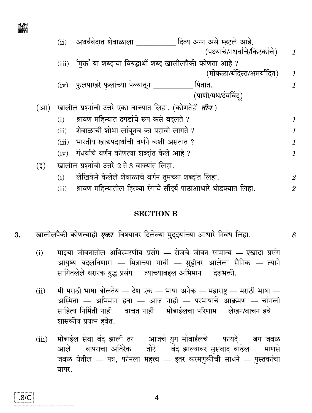|         | (ii)  | अथर्ववेदात शेवाळाला<br>दिव्य अन्न असे म्हटले आहे.                 |                |
|---------|-------|-------------------------------------------------------------------|----------------|
|         |       | (पक्ष्यांचे/गंधर्वाचे/किटकांचे)                                   | $\mathbf{1}$   |
|         | (iii) | 'मुक्त' या शब्दाचा विरुद्धार्थी शब्द खालीलपैकी कोणता आहे ?        |                |
|         |       | (मोकळा/बंदिस्त/अमर्यादित)                                         | 1              |
|         |       | (iv) फुलपाखरे फुलांच्या पेल्यातून ___<br>पितात.                   | 1              |
|         |       | (पाणी/मध/दंबबिंद्)                                                |                |
| (आ)     |       | खालील प्रश्नांची उत्तरे एका वाक्यात लिहा. (कोणतेही <i>तीन</i> )   |                |
|         | (i)   | श्रावण महिन्यात दगडांचे रूप कसे बदलते ?                           | 1              |
|         | (ii)  | शेवाळाची शोभा लांबूनच का पहावी लागते ?                            | 1              |
|         | (iii) | भारतीय खाद्यपदार्थांची वर्णने कशी असतात ?                         | 1              |
|         | (iv)  | गंधर्वाचे वर्णन कोणत्या शब्दांत केले आहे ?                        | 1              |
| $(\xi)$ |       | खालील प्रश्नांची उत्तरे 2 ते 3 वाक्यांत लिहा.                     |                |
|         | (i)   | लेखिकेने केलेले शेवाळाचे वर्णन तुमच्या शब्दांत लिहा.              | $\overline{2}$ |
|         | (ii)  | श्रावण महिन्यातील हिरव्या रंगाचे सौंदर्य पाठाआधारे थोडक्यात लिहा. | $\overline{2}$ |

#### **SECTION B**

- खालीलपैकी कोणत्याही एका विषयावर दिलेल्या मुद्दयांच्या आधारे निबंध लिहा. 3.
	- माझ्या जीवनातील अविस्मरणीय प्रसंग रोजचे जीवन सामान्य एखादा प्रसंग  $(i)$ आयुष्य बदलविणारा — मित्राच्या गावी — सुट्टीवर आलेला सैनिक — त्याने सांगितलेले थरारक युद्ध प्रसंग — त्याच्याबद्दल अभिमान — देशभक्ती.

 $\mathcal{S}_{\mathcal{S}}$ 

- मी मराठी भाषा बोलतेय देश एक भाषा अनेक महाराष्ट्र मराठी भाषा  $(ii)$ अस्मिता — अभिमान हवा — आज नाही — परभाषांचे आक्रमण — चांगली साहित्य निर्मिती नाही — वाचत नाही — मोबाईलचा परिणाम — लेखन/वाचन हवे — शासकीय प्रयत्न हवेत.
- मोबाईल सेवा बंद झाली तर आजचे युग मोबाईलचे फायदे जग जवळ  $(iii)$ आले — वापराचा अतिरेक — तोटे — बंद झाल्यावर सुसंवाद वाढेल — माणसे जवळ येतील — पत्र, फोनला महत्त्व — इतर करमणुकीची साधने — पुस्तकांचा वापर.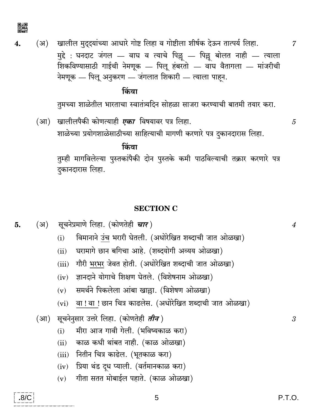

खालील मुदुदयांच्या आधारे गोष्ट लिहा व गोष्टीला शीर्षक देऊन तात्पर्य लिहा. (अ) 4. मुद्दे : घनदाट जंगल — वाघ व त्याचे पिल्लू — पिल्लू बोलत नाही — त्याला शिकविण्यासाठी गाईची नेमणूक — पिलू हंबरतो — वाघ वैतागला — मांजरीची नेमणूक — पिलू अनुकरण — जंगलात शिकारी — त्याला पाहन.

### किंवा

तुमच्या शाळेतील भारताचा स्वातंत्र्यदिन सोहळा साजरा करण्याची बातमी तयार करा.

खालीलपैकी कोणत्याही *एका* विषयावर पत्र लिहा. (आ) शाळेच्या प्रयोगशाळेसाठीच्या साहित्याची मागणी करणारे पत्र दुकानदारास लिहा.

किंवा तुम्ही मागविलेल्या पुस्तकांपैकी दोन पुस्तके कमी पाठविल्याची तक्रार करणारे पत्र दुकानदारास लिहा.

#### **SECTION C**

- विमानाने उंच भरारी घेतली. (अधोरेखित शब्दाची जात ओळखा)  $(i)$
- घरामागे छान बगिचा आहे. (शब्दयोगी अव्यय ओळखा)  $(ii)$
- गौरी भरभर जेवत होती. (अधोरेखित शब्दाची जात ओळखा)  $(iii)$
- ज्ञानदाने योगाचे शिक्षण घेतले. (विशेषनाम ओळखा)  $(iv)$
- समर्थने पिकलेला आंबा खाल्ला. (विशेषण ओळखा)  $(v)$
- वा!वा!छान चित्र काढलेस. (अधोरेखित शब्दाची जात ओळखा)  $(vi)$
- (आ) सूचनेनुसार उत्तरे लिहा. (कोणतेही *तीन* )
	- मीरा आज गावी गेली. (भविष्यकाळ करा)  $(i)$
	- काळ कधी थांबत नाही. (काळ ओळखा)  $(ii)$
	- नितीन चित्र काढेल. (भूतकाळ करा)  $(iii)$
	- प्रिया थंड दूध प्याली. (वर्तमानकाळ करा)  $(iv)$
	- गीता सतत मोबाईल पहाते. (काळ ओळखा)  $(v)$

5

 $\overline{7}$ 

 $\overline{4}$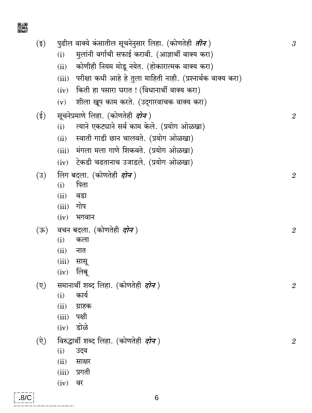■網<br>首数

| $(\overline{\xi})$ |             | पुढील वाक्ये कंसातील सूचनेनुसार लिहा. (कोणतेही <i>तीन</i> )           |                |  |  |  |  |  |  |
|--------------------|-------------|-----------------------------------------------------------------------|----------------|--|--|--|--|--|--|
|                    |             | मुलांनी वर्गाची सफाई करावी. (आज्ञार्थी वाक्य करा)<br>(i)              |                |  |  |  |  |  |  |
|                    |             | कोणीही नियम मोडू नयेत. (होकारात्मक वाक्य करा)<br>(ii)                 |                |  |  |  |  |  |  |
|                    |             | परीक्षा कधी आहे हे तुला माहिती नाही. (प्रश्नार्थक वाक्य करा)<br>(iii) |                |  |  |  |  |  |  |
|                    |             | किती हा पसारा घरात ! (विधानार्थी वाक्य करा)<br>(iv)                   |                |  |  |  |  |  |  |
|                    |             | शीला खूप काम करते. (उद्गारवाचक वाक्य करा)<br>(v)                      |                |  |  |  |  |  |  |
|                    | $(\xi)$     | सूचनेप्रमाणे लिहा. (कोणतेही <i>दोन</i> )                              |                |  |  |  |  |  |  |
|                    |             | त्याने एकट्याने सर्व काम केले. (प्रयोग ओळखा)<br>(i)                   | $\overline{2}$ |  |  |  |  |  |  |
|                    |             | स्वाती गाडी छान चालवते. (प्रयोग ओळखा)<br>(ii)                         |                |  |  |  |  |  |  |
|                    |             | मंगला मला गाणे शिकवते. (प्रयोग ओळखा)<br>(iii)                         |                |  |  |  |  |  |  |
|                    |             | टेकडी चढतानाच उजाडले. (प्रयोग ओळखा)<br>(iv)                           |                |  |  |  |  |  |  |
|                    | (3)         | लिंग बदला. (कोणतेही <i>दोन</i> )                                      | $\overline{2}$ |  |  |  |  |  |  |
|                    |             | पिता<br>(i)                                                           |                |  |  |  |  |  |  |
|                    |             | (ii)<br>वडा                                                           |                |  |  |  |  |  |  |
|                    |             | गोप<br>(iii)                                                          |                |  |  |  |  |  |  |
|                    |             | भगवान<br>(iv)                                                         |                |  |  |  |  |  |  |
|                    | (ক)         | वचन बदला. (कोणतेही <i>दोन</i> )                                       | $\overline{2}$ |  |  |  |  |  |  |
|                    |             | (i)<br>कला                                                            |                |  |  |  |  |  |  |
|                    |             | (ii)<br>नात                                                           |                |  |  |  |  |  |  |
|                    |             | (iii)<br>सासू                                                         |                |  |  |  |  |  |  |
|                    |             | लिंबू<br>(iv)                                                         |                |  |  |  |  |  |  |
|                    | $(\nabla)$  | समानार्थी शब्द लिहा. (कोणतेही <i>दोन</i> )                            | $\mathbf{2}$   |  |  |  |  |  |  |
|                    |             | कार्य<br>(i)                                                          |                |  |  |  |  |  |  |
|                    |             | (ii)<br>ग्राहक<br>पक्षी<br>(iii)                                      |                |  |  |  |  |  |  |
|                    |             | डोळे<br>(iv)                                                          |                |  |  |  |  |  |  |
|                    |             |                                                                       |                |  |  |  |  |  |  |
|                    | $(\hat{y})$ | विरुद्धार्थी शब्द लिहा. (कोणतेही <i>दोन</i> )<br>(i)<br>उदय           | $\mathbf{2}$   |  |  |  |  |  |  |
|                    |             | (ii)<br>साक्षर                                                        |                |  |  |  |  |  |  |
|                    |             | प्रगती<br>(iii)                                                       |                |  |  |  |  |  |  |
|                    |             | वर<br>(iv)                                                            |                |  |  |  |  |  |  |
|                    |             |                                                                       |                |  |  |  |  |  |  |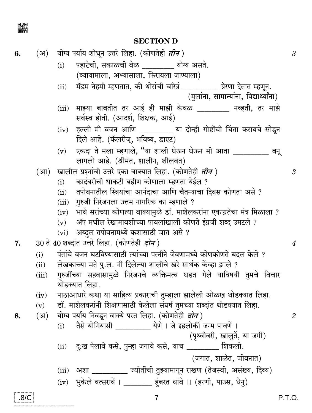

## **SECTION D**

| 6.   |                                                     | (अ)   योग्य पर्याय शोधून उत्तरे लिहा. (कोणतेही <i>तीन</i> )                                                 | $\mathfrak{z}$ |  |  |  |  |  |
|------|-----------------------------------------------------|-------------------------------------------------------------------------------------------------------------|----------------|--|--|--|--|--|
|      |                                                     | पहाटेची, सकाळची वेळ ________ योग्य असते.<br>(i)                                                             |                |  |  |  |  |  |
|      |                                                     | (व्यायामाला, अभ्यासाला, फिरायला जाण्याला)                                                                   |                |  |  |  |  |  |
|      |                                                     | मॅडम नेहमी म्हणतात, की थोरांची चरित्रं __________ प्रेरणा देतात म्हणून.<br>(ii)                             |                |  |  |  |  |  |
|      |                                                     | (मुलांना, सामान्यांना, विद्यार्थ्यांना)                                                                     |                |  |  |  |  |  |
|      |                                                     | माझ्या बाबतीत तर आई ही माझी केवळ ________ नव्हती, तर माझे<br>(iii)<br>सर्वस्व होती. (आदर्श, शिक्षक, आई)     |                |  |  |  |  |  |
|      |                                                     | (iv) हल्ली मी वजन आणि _________ या दोन्ही गोष्टींची चिंता करायचे सोडून<br>दिले आहे. (कॅलरीज्, भविष्य, डाएट) |                |  |  |  |  |  |
|      |                                                     | एकदा ते मला म्हणाले, "या शाली घेऊन घेऊन मी आता __________ बनू<br>(v)<br>लागलो आहे. (श्रीमंत, शालीन, शीलवंत) |                |  |  |  |  |  |
|      |                                                     | (आ) खालील प्रश्नांची उत्तरे एका वाक्यात लिहा. (कोणतेही <i>तीन</i> )                                         | $\mathfrak{z}$ |  |  |  |  |  |
|      |                                                     | कादंबरीची धाकटी बहीण कोणाला म्हणता येईल ?<br>(i)                                                            |                |  |  |  |  |  |
|      |                                                     | तपोवनातील स्त्रियांचा आनंदाचा आणि चैतन्याचा दिवस कोणता असे ?<br>(ii)                                        |                |  |  |  |  |  |
|      |                                                     | (iii) गुरुजी निरंजनला उत्तम नागरिक का म्हणाले ?                                                             |                |  |  |  |  |  |
|      |                                                     | (iv) भावे सरांच्या कोणत्या वाक्यामुळे डॉ. माशेलकरांना एकाग्रतेचा मंत्र मिळाला ?                             |                |  |  |  |  |  |
|      |                                                     | $(v)$ ॲप मधील रेखामावशीच्या पावलांखाली कोणते इंग्रजी शब्द उमटले ?                                           |                |  |  |  |  |  |
|      |                                                     | (vi) अब्दुल तपोवनामध्ये कशासाठी जात असे ?                                                                   | 4              |  |  |  |  |  |
| 7.   | 30 ते 40 शब्दांत उत्तरे लिहा. (कोणतेही <i>दोन</i> ) |                                                                                                             |                |  |  |  |  |  |
|      | (i)                                                 | पंतांचे वजन घटविण्यासाठी त्यांच्या पत्नीने जेवणामध्ये कोणकोणते बदल केले ?                                   |                |  |  |  |  |  |
|      | (ii)                                                | लेखकाच्या मते पु.ल. नी दिलेल्या शालीचे खरे सार्थक केंव्हा झाले ?                                            |                |  |  |  |  |  |
|      | (iii)                                               | गुरुजींच्या सहवासामुळे निरंजनचे व्यक्तिमत्व घडत गेले याविषयी तुमचे विचार<br>थोडक्यात लिहा.                  |                |  |  |  |  |  |
|      |                                                     | (iv) पाठाआधारे कथा या साहित्य प्रकाराची तुम्हाला झालेली ओळख थोडक्यात लिहा.                                  |                |  |  |  |  |  |
|      | (v)                                                 | डॉ. माशेलकरांनी शिक्षणासाठी केलेला संघर्ष तुमच्या शब्दांत थोडक्यात लिहा.                                    |                |  |  |  |  |  |
| 8.   | (3)                                                 | योग्य पर्याय निवडून वाक्ये परत लिहा. (कोणतेही <i>दोन</i> )                                                  | $\mathbf{2}$   |  |  |  |  |  |
|      |                                                     | तैसे योगियासी __________ येणे । जे इहलोकीं जन्म पावणें ।<br>(i)                                             |                |  |  |  |  |  |
|      |                                                     | (पृथ्वीवरी, खालुतें, या जगी)                                                                                |                |  |  |  |  |  |
|      |                                                     | दुःख पेलावे कसे, पुन्हा जगावे कसे, याच ________ शिकलो.<br>(ii)                                              |                |  |  |  |  |  |
|      |                                                     | (जगात, शाळेत, जीवनात)                                                                                       |                |  |  |  |  |  |
|      |                                                     | (iii) अशा _________ ज्योतींची तुझ्यामागून राखण (तेजस्वी, असंख्य, दिव्य)                                     |                |  |  |  |  |  |
|      |                                                     | (iv) भुकेलें वत्सरावें । _______ हंबरत धांवे ।। (हरणी, पाउस, धेनु)                                          |                |  |  |  |  |  |
| .8/C |                                                     | P.T.O.<br>$\overline{7}$                                                                                    |                |  |  |  |  |  |